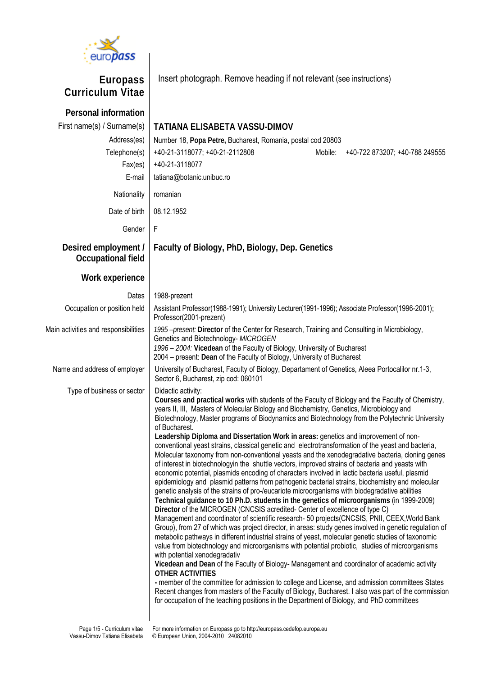

**Europass Curriculum Vitae** Insert photograph. Remove heading if not relevant (see instructions) **Personal information**  First name(s) / Surname(s) **TATIANA ELISABETA VASSU-DIMOV** Address(es) Number 18, Popa Petre, Bucharest, Romania, postal cod 20803 Telephone(s) +40-21-3118077; +40-21-2112808 Mobile: +40-722 873207; +40-788 249555 Fax(es) +40-21-3118077 E-mail | tatiana@botanic.unibuc.ro Nationality | romanian Date of birth 08.12.1952 Gender F **Desired employment / Occupational field Faculty of Biology, PhD, Biology, Dep. Genetics Work experience**  Dates 1988-prezent Occupation or position held | Assistant Professor(1988-1991); University Lecturer(1991-1996); Associate Professor(1996-2001); Professor(2001-prezent) Main activities and responsibilities *1995 –present:* **Director** of the Center for Research, Training and Consulting in Microbiology, Genetics and Biotechnology- *MICROGEN 1996 – 2004:* **Vicedean** of the Faculty of Biology, University of Bucharest 2004 – present: **Dean** of the Faculty of Biology, University of Bucharest Name and address of employer University of Bucharest, Faculty of Biology, Departament of Genetics, Aleea Portocalilor nr.1-3, Sector 6, Bucharest, zip cod: 060101 Type of business or sector  $\vert$  Didactic activity: **Courses and practical works** with students of the Faculty of Biology and the Faculty of Chemistry, years II, III, Masters of Molecular Biology and Biochemistry, Genetics, Microbiology and Biotechnology, Master programs of Biodynamics and Biotechnology from the Polytechnic University of Bucharest. **Leadership Diploma and Dissertation Work in areas:** genetics and improvement of nonconventional yeast strains, classical genetic and electrotransformation of the yeast and bacteria, Molecular taxonomy from non-conventional yeasts and the xenodegradative bacteria, cloning genes of interest in biotechnologyin the shuttle vectors, improved strains of bacteria and yeasts with economic potential, plasmids encoding of characters involved in lactic bacteria useful, plasmid epidemiology and plasmid patterns from pathogenic bacterial strains, biochemistry and molecular genetic analysis of the strains of pro-/eucariote microorganisms with biodegradative abilities **Technical guidance to 10 Ph.D. students in the genetics of microorganisms** (in 1999-2009) **Director** of the MICROGEN (CNCSIS acredited- Center of excellence of type C) Management and coordinator of scientific research- 50 projects(CNCSIS, PNII, CEEX,World Bank Group), from 27 of which was project director, in areas: study genes involved in genetic regulation of metabolic pathways in different industrial strains of yeast, molecular genetic studies of taxonomic value from biotechnology and microorganisms with potential probiotic, studies of microorganisms with potential xenodegradativ **Vicedean and Dean** of the Faculty of Biology- Management and coordinator of academic activity **OTHER ACTIVITIES -** member of the committee for admission to college and License, and admission committees States Recent changes from masters of the Faculty of Biology, Bucharest. I also was part of the commission for occupation of the teaching positions in the Department of Biology, and PhD committees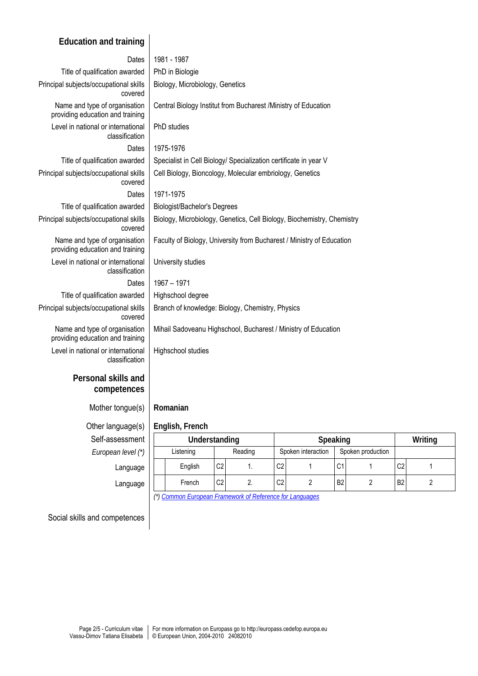# **Education and training**

| Dates                                                             | 1981 - 1987                                                            |
|-------------------------------------------------------------------|------------------------------------------------------------------------|
| Title of qualification awarded                                    | PhD in Biologie                                                        |
| Principal subjects/occupational skills<br>covered                 | Biology, Microbiology, Genetics                                        |
| Name and type of organisation<br>providing education and training | Central Biology Institut from Bucharest / Ministry of Education        |
| Level in national or international<br>classification              | PhD studies                                                            |
| Dates                                                             | 1975-1976                                                              |
| Title of qualification awarded                                    | Specialist in Cell Biology/ Specialization certificate in year V       |
| Principal subjects/occupational skills<br>covered                 | Cell Biology, Bioncology, Molecular embriology, Genetics               |
| Dates                                                             | 1971-1975                                                              |
| Title of qualification awarded                                    | <b>Biologist/Bachelor's Degrees</b>                                    |
| Principal subjects/occupational skills<br>covered                 | Biology, Microbiology, Genetics, Cell Biology, Biochemistry, Chemistry |
| Name and type of organisation<br>providing education and training | Faculty of Biology, University from Bucharest / Ministry of Education  |
| Level in national or international<br>classification              | University studies                                                     |
| Dates                                                             | 1967 - 1971                                                            |
| Title of qualification awarded                                    | Highschool degree                                                      |
| Principal subjects/occupational skills<br>covered                 | Branch of knowledge: Biology, Chemistry, Physics                       |
| Name and type of organisation<br>providing education and training | Mihail Sadoveanu Highschool, Bucharest / Ministry of Education         |
| Level in national or international<br>classification              | Highschool studies                                                     |
| Personal skills and<br>competences                                |                                                                        |
| Mother tongue(s)                                                  | Romanian                                                               |

# Other language(s) **English, French**

Self-assessmer **European level (** 

| sessment        | Understanding |         |                | Speaking |                |                    |                |                   | Writing        |  |
|-----------------|---------------|---------|----------------|----------|----------------|--------------------|----------------|-------------------|----------------|--|
| $\ln$ level (*) | Listening     |         |                | Reading  |                | Spoken interaction |                | Spoken production |                |  |
| Language        |               | English | C <sub>2</sub> |          | C <sub>2</sub> |                    | $\sim$<br>ا با |                   | C <sub>2</sub> |  |
| Language        |               | French  | C <sub>2</sub> | ۷.       | C <sub>2</sub> |                    | B <sub>2</sub> |                   | B <sub>2</sub> |  |

*(\*) [Common European Framework of Reference for Languages](http://europass.cedefop.europa.eu/LanguageSelfAssessmentGrid/en)*

Social skills and competences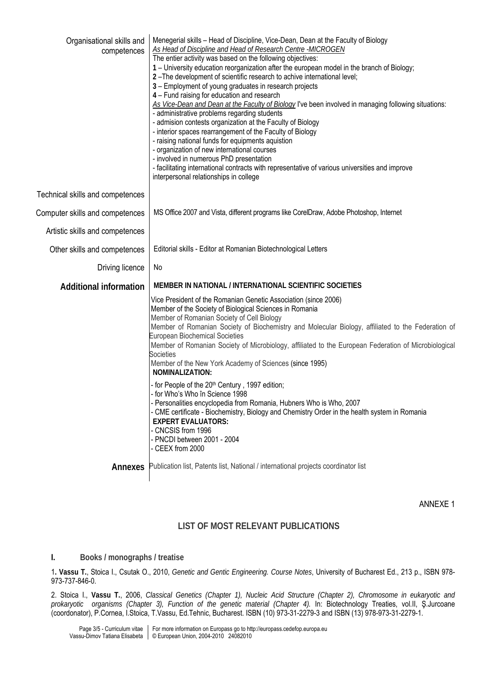| Organisational skills and<br>competences | Menegerial skills - Head of Discipline, Vice-Dean, Dean at the Faculty of Biology<br><b>As Head of Discipline and Head of Research Centre -MICROGEN</b><br>The entier activity was based on the following objectives:<br>1 - University education reorganization after the european model in the branch of Biology;<br>2-The development of scientific research to achive international level;<br>3 - Employment of young graduates in research projects<br>4 - Fund raising for education and research<br>As Vice-Dean and Dean at the Faculty of Biology I've been involved in managing following situations:<br>- administrative problems regarding students<br>- admision contests organization at the Faculty of Biology<br>- interior spaces rearrangement of the Faculty of Biology<br>- raising national funds for equipments aquistion<br>- organization of new international courses<br>- involved in numerous PhD presentation<br>- facilitating international contracts with representative of various universities and improve<br>interpersonal relationships in college |
|------------------------------------------|---------------------------------------------------------------------------------------------------------------------------------------------------------------------------------------------------------------------------------------------------------------------------------------------------------------------------------------------------------------------------------------------------------------------------------------------------------------------------------------------------------------------------------------------------------------------------------------------------------------------------------------------------------------------------------------------------------------------------------------------------------------------------------------------------------------------------------------------------------------------------------------------------------------------------------------------------------------------------------------------------------------------------------------------------------------------------------------|
| Technical skills and competences         |                                                                                                                                                                                                                                                                                                                                                                                                                                                                                                                                                                                                                                                                                                                                                                                                                                                                                                                                                                                                                                                                                       |
| Computer skills and competences          | MS Office 2007 and Vista, different programs like CorelDraw, Adobe Photoshop, Internet                                                                                                                                                                                                                                                                                                                                                                                                                                                                                                                                                                                                                                                                                                                                                                                                                                                                                                                                                                                                |
| Artistic skills and competences          |                                                                                                                                                                                                                                                                                                                                                                                                                                                                                                                                                                                                                                                                                                                                                                                                                                                                                                                                                                                                                                                                                       |
| Other skills and competences             | Editorial skills - Editor at Romanian Biotechnological Letters                                                                                                                                                                                                                                                                                                                                                                                                                                                                                                                                                                                                                                                                                                                                                                                                                                                                                                                                                                                                                        |
| Driving licence                          | No                                                                                                                                                                                                                                                                                                                                                                                                                                                                                                                                                                                                                                                                                                                                                                                                                                                                                                                                                                                                                                                                                    |
| <b>Additional information</b>            | MEMBER IN NATIONAL / INTERNATIONAL SCIENTIFIC SOCIETIES                                                                                                                                                                                                                                                                                                                                                                                                                                                                                                                                                                                                                                                                                                                                                                                                                                                                                                                                                                                                                               |
|                                          | Vice President of the Romanian Genetic Association (since 2006)<br>Member of the Society of Biological Sciences in Romania<br>Member of Romanian Society of Cell Biology<br>Member of Romanian Society of Biochemistry and Molecular Biology, affiliated to the Federation of<br><b>European Biochemical Societies</b><br>Member of Romanian Society of Microbiology, affiliated to the European Federation of Microbiological<br>Societies<br>Member of the New York Academy of Sciences (since 1995)<br>NOMINALIZATION:                                                                                                                                                                                                                                                                                                                                                                                                                                                                                                                                                             |
|                                          | - for People of the 20 <sup>th</sup> Century, 1997 edition;<br>for Who's Who în Science 1998<br>- Personalities encyclopedia from Romania, Hubners Who is Who, 2007<br>- CME certificate - Biochemistry, Biology and Chemistry Order in the health system in Romania<br><b>EXPERT EVALUATORS:</b><br>- CNCSIS from 1996<br>- PNCDI between 2001 - 2004<br>- CEEX from 2000                                                                                                                                                                                                                                                                                                                                                                                                                                                                                                                                                                                                                                                                                                            |
| Annexes                                  | Publication list, Patents list, National / international projects coordinator list                                                                                                                                                                                                                                                                                                                                                                                                                                                                                                                                                                                                                                                                                                                                                                                                                                                                                                                                                                                                    |

ANNEXE 1

### **LIST OF MOST RELEVANT PUBLICATIONS**

### **I. Books / monographs / treatise**

1**. Vassu T.**, Stoica I., Csutak O., 2010, *Genetic and Gentic Engineering. Course Notes*, University of Bucharest Ed., 213 p., ISBN 978- 973-737-846-0.

2. Stoica I., **Vassu T.**, 2006, *Classical Genetics (Chapter 1), Nucleic Acid Structure (Chapter 2), Chromosome in eukaryotic and prokaryotic organisms (Chapter 3), Function of the genetic material (Chapter 4).* In: Biotechnology Treaties, vol.II, Ş.Jurcoane (coordonator), P.Cornea, I.Stoica, T.Vassu, Ed.Tehnic, Bucharest. ISBN (10) 973-31-2279-3 and ISBN (13) 978-973-31-2279-1.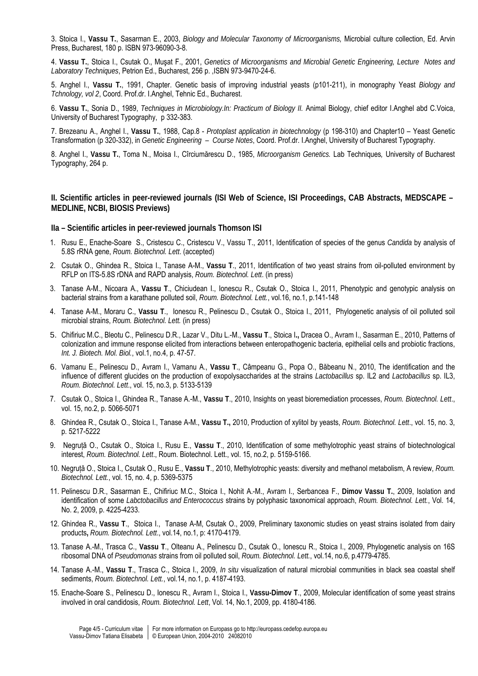3. Stoica I., **Vassu T.**, Sasarman E., 2003, *Biology and Molecular Taxonomy of Microorganisms,* Microbial culture collection, Ed. Arvin Press, Bucharest, 180 p. ISBN 973-96090-3-8.

4. **Vassu T.**, Stoica I., Csutak O., Muşat F., 2001, *Genetics of Microorganisms and Microbial Genetic Engineering, Lecture Notes and Laboratory Techniques*, Petrion Ed., Bucharest, 256 p. ,ISBN 973-9470-24-6.

5. Anghel I., **Vassu T.**, 1991, Chapter. Genetic basis of improving industrial yeasts (p101-211), in monography Yeast *Biology and Tchnology, vol 2*, Coord. Prof.dr. I.Anghel, Tehnic Ed., Bucharest.

6. **Vassu T.**, Sonia D., 1989, *Techniques in Microbiology.In: Practicum of Biology II.* Animal Biology, chief editor I.Anghel abd C.Voica, University of Bucharest Typography, p 332-383.

7. Brezeanu A., Anghel I., **Vassu T.**, 1988, Cap.8 - *Protoplast application in biotechnology* (p 198-310) and Chapter10 – Yeast Genetic Transformation (p 320-332), in *Genetic Engineering – Course Notes*, Coord. Prof.dr. I.Anghel, University of Bucharest Typography.

8. Anghel I., **Vassu T.**, Toma N., Moisa I., Cîrciumărescu D., 1985, *Microorganism Genetics.* Lab Techniques*,* University of Bucharest Typography, 264 p.

**II. Scientific articles in peer-reviewed journals (ISI Web of Science, ISI Proceedings, CAB Abstracts, MEDSCAPE – MEDLINE, NCBI, BIOSIS Previews)** 

**IIa – Scientific articles in peer-reviewed journals Thomson ISI** 

- 1. Rusu E., Enache-Soare S., Cristescu C., Cristescu V., Vassu T., 2011, Identification of species of the genus *Candida* by analysis of 5.8S rRNA gene, *Roum. Biotechnol. Lett*. (accepted)
- 2. Csutak O., Ghindea R., Stoica I., Tanase A-M., **Vassu T**., 2011, Identification of two yeast strains from oil-polluted environment by RFLP on ITS-5.8S rDNA and RAPD analysis, *Roum. Biotechnol. Lett*. (in press)
- 3. Tanase A-M., Nicoara A., **Vassu T**., Chiciudean I., Ionescu R., Csutak O., Stoica I., 2011, Phenotypic and genotypic analysis on bacterial strains from a karathane polluted soil, *Roum. Biotechnol. Lett.*, vol.16, no.1, p.141-148
- 4. Tanase A-M., Moraru C., **Vassu T**., Ionescu R., Pelinescu D., Csutak O., Stoica I., 2011, Phylogenetic analysis of oil polluted soil microbial strains, *Roum. Biotechnol. Lett.* (in press)
- 5. Chifiriuc M.C., Bleotu C., Pelinescu D.R., Lazar V., Ditu L.-M., **Vassu T**., Stoica I**.,** Dracea O., Avram I., Sasarman E., 2010, Patterns of colonization and immune response elicited from interactions between enteropathogenic bacteria, epithelial cells and probiotic fractions, *Int. J. Biotech. Mol. Biol.*, vol.1, no.4, p. 47-57.
- 6. Vamanu E., Pelinescu D., Avram I., Vamanu A., **Vassu T**., Câmpeanu G., Popa O., Băbeanu N., 2010, The identification and the influence of different glucides on the production of exopolysaccharides at the strains *Lactobacillus* sp. IL2 and *Lactobacillus* sp. IL3, *Roum. Biotechnol. Lett*., vol. 15, no.3, p. 5133-5139
- 7. Csutak O., Stoica I., Ghindea R., Tanase A.-M., **Vassu T**., 2010, Insights on yeast bioremediation processes, *Roum. Biotechnol. Lett*., vol. 15, no.2, p. 5066-5071
- 8. Ghindea R., Csutak O., Stoica I., Tanase A-M., **Vassu T.,** 2010, Production of xylitol by yeasts, *Roum. Biotechnol. Lett*., vol. 15, no. 3, p. 5217-5222
- 9. Negruţă O., Csutak O., Stoica I., Rusu E., **Vassu T**., 2010, Identification of some methylotrophic yeast strains of biotechnological interest, *Roum. Biotechnol. Lett*., Roum. Biotechnol. Lett., vol. 15, no.2, p. 5159-5166.
- 10. Negruţă O., Stoica I., Csutak O., Rusu E., **Vassu T**., 2010, Methylotrophic yeasts: diversity and methanol metabolism, A review, *Roum. Biotechnol. Lett.*, vol. 15, no. 4, p. 5369-5375
- 11. Pelinescu D.R., Sasarman E., Chifiriuc M.C., Stoica I., Nohit A.-M., Avram I., Serbancea F., **Dimov Vassu T.**, 2009, Isolation and identification of some *Labctobacillus and Enterococcus* strains by polyphasic taxonomical approach, *Roum. Biotechnol. Lett.*, Vol. 14, No. 2, 2009, p. 4225-4233.
- 12. Ghindea R., **Vassu T**., Stoica I., Tanase A-M, Csutak O., 2009, Preliminary taxonomic studies on yeast strains isolated from dairy products**,** *Roum. Biotechnol. Lett*., vol.14, no.1, p: 4170-4179.
- 13. Tanase A.-M., Trasca C., **Vassu T**., Olteanu A., Pelinescu D., Csutak O., Ionescu R., Stoica I., 2009, Phylogenetic analysis on 16S ribosomal DNA of *Pseudomonas* strains from oil polluted soil, *Roum. Biotechnol. Lett.*, vol.14, no.6, p.4779-4785.
- 14. Tanase A.-M., **Vassu T**., Trasca C., Stoica I., 2009, *In situ* visualization of natural microbial communities in black sea coastal shelf sediments, *Roum. Biotechnol. Lett.*, vol.14, no.1, p. 4187-4193.
- 15. Enache-Soare S., Pelinescu D., Ionescu R., Avram I., Stoica I., **Vassu-Dimov T**., 2009, Molecular identification of some yeast strains involved in oral candidosis, *Roum. Biotechnol. Lett*, Vol. 14, No.1, 2009, pp. 4180-4186*.*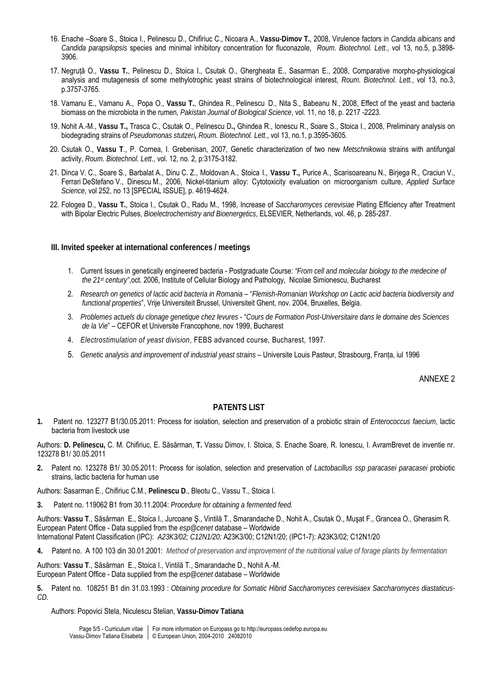- 16. Enache –Soare S., Stoica I., Pelinescu D., Chifiriuc C., Nicoara A., **Vassu-Dimov T.**, 2008, Virulence factors in *Candida albicans* and *Candida parapsilopsis* species and minimal inhibitory concentration for fluconazole, *Roum. Biotechnol. Lett*., vol 13, no.5, p.3898- 3906.
- 17. Negruţă O., **Vassu T.**, Pelinescu D., Stoica I., Csutak O., Ghergheata E., Sasarman E., 2008, Comparative morpho-physiological analysis and mutagenesis of some methylotrophic yeast strains of biotechnological interest, *Roum. Biotechnol. Lett.*, vol 13, no.3, p.3757-3765.
- 18. [Vamanu](http://scialert.net/asci/author.php?author=E.&last=Vamanu) E., [Vamanu](http://scialert.net/asci/author.php?author=A.&last=Vamanu) A., [Popa](http://scialert.net/asci/author.php?author=O.&last=Popa) O., **[Vassu](http://scialert.net/asci/author.php?author=Tatiana&last=Vassu) T.**, [Ghindea](http://scialert.net/asci/author.php?author=Raluca&last=Ghindea) R., [Pelinescu](http://scialert.net/asci/author.php?author=Diana&last=Pelinescu) D., [Nita](http://scialert.net/asci/author.php?author=Sultana&last=Nita) S., [Babeanu](http://scialert.net/asci/author.php?author=Narcisa&last=Babeanu) N., 2008, Effect of the yeast and bacteria biomass on the microbiota in the rumen*, Pakistan Journal of Biological Science*, vol. 11, no 18, p. 2217 -2223.
- 19. Nohit A.-M., **Vassu T.,** Trasca C., Csutak O., Pelinescu D**.,** Ghindea R., Ionescu R., Soare S., Stoica I., 2008, Preliminary analysis on biodegrading strains of *Pseudomonas stutzeri, Roum. Biotechnol. Lett*., vol 13, no.1, p.3595-3605.
- 20. Csutak O., **Vassu T**., P. Cornea, I. Grebenisan, 2007, Genetic characterization of two new *Metschnikowia* strains with antifungal activity, *Roum. Biotechnol. Lett*., vol. 12, no. 2, p:3175-3182.
- 21. [Dinca V. C.](http://adsabs.harvard.edu/cgi-bin/author_form?author=Dinca,+V&fullauthor=Dinca,%20V.%20C.&charset=UTF-8&db_key=PHY), [Soare S.](http://adsabs.harvard.edu/cgi-bin/author_form?author=Soare,+S&fullauthor=Soare,%20S.&charset=UTF-8&db_key=PHY), [Barbalat A.,](http://adsabs.harvard.edu/cgi-bin/author_form?author=Barbalat,+A&fullauthor=Barbalat,%20A.&charset=UTF-8&db_key=PHY) [Dinu C. Z.](http://adsabs.harvard.edu/cgi-bin/author_form?author=Dinu,+C&fullauthor=Dinu,%20C.%20Z.&charset=UTF-8&db_key=PHY), [Moldovan A.](http://adsabs.harvard.edu/cgi-bin/author_form?author=Moldovan,+A&fullauthor=Moldovan,%20A.&charset=UTF-8&db_key=PHY), [Stoica I.](http://adsabs.harvard.edu/cgi-bin/author_form?author=Stoica,+I&fullauthor=Stoica,%20I.&charset=UTF-8&db_key=PHY), **[Vassu T.,](http://adsabs.harvard.edu/cgi-bin/author_form?author=Vassu,+T&fullauthor=Vassu,%20T.&charset=UTF-8&db_key=PHY)** [Purice A.](http://adsabs.harvard.edu/cgi-bin/author_form?author=Purice,+A&fullauthor=Purice,%20A.&charset=UTF-8&db_key=PHY), [Scarisoareanu N.](http://adsabs.harvard.edu/cgi-bin/author_form?author=Scarisoareanu,+N&fullauthor=Scarisoareanu,%20N.&charset=UTF-8&db_key=PHY), [Birjega R.,](http://adsabs.harvard.edu/cgi-bin/author_form?author=Birjega,+R&fullauthor=Birjega,%20R.&charset=UTF-8&db_key=PHY) [Craciun V.,](http://adsabs.harvard.edu/cgi-bin/author_form?author=Craciun,+V&fullauthor=Craciun,%20V.&charset=UTF-8&db_key=PHY) [Ferrari DeStefano V.,](http://adsabs.harvard.edu/cgi-bin/author_form?author=Ferrari+DeStefano,+V&fullauthor=Ferrari%20DeStefano,%20V.&charset=UTF-8&db_key=PHY) [Dinescu M.,](http://adsabs.harvard.edu/cgi-bin/author_form?author=Dinescu,+M&fullauthor=Dinescu,%20M.&charset=UTF-8&db_key=PHY) 2006, Nickel-titanium alloy: Cytotoxicity evaluation on microorganism culture, *Applied Surface Science*, vol 252, no 13 [SPECIAL ISSUE], p. 4619-4624.
- 22. Fologea D., **Vassu T.**, Stoica I., Csutak O., Radu M., 1998, Increase of *Saccharomyces cerevisiae* Plating Efficiency after Treatment with Bipolar Electric Pulses, *Bioelectrochemistry and Bioenergetics*, ELSEVIER, Netherlands, vol. 46, p. 285-287.

#### **III. Invited speeker at international conferences / meetings**

- 1. Current Issues in genetically engineered bacteria Postgraduate Course: *"From cell and molecular biology to the medecine of the 21st century"*,oct. 2006, Institute of Cellular Biology and Pathology, Nicolae Simionescu, Bucharest
- 2. *Research on genetics of lactic acid bacteria in Romania* "*Flemish-Romanian Workshop on Lactic acid bacteria biodiversity and functional properties*", Vrije Universiteit Brussel, Universiteit Ghent, nov. 2004, Bruxelles, Belgia.
- 3. *Problemes actuels du clonage genetique chez levures* "*Cours de Formation Post-Universitaire dans le domaine des Sciences de la Vie*" – CEFOR et Universite Francophone, nov 1999, Bucharest
- 4. *Electrostimulation of yeast division*, FEBS advanced course, Bucharest, 1997.
- 5. *Genetic analysis and improvement of industrial yeast strains* Universite Louis Pasteur, Strasbourg, Franţa, iul 1996

ANNEXE 2

### **PATENTS LIST**

**1.** Patent no. 123277 B1/30.05.2011: Process for isolation, selection and preservation of a probiotic strain of *Enterococcus faecium*, lactic bacteria from livestock use

Authors: **D. Pelinescu,** C. M. Chifiriuc, E. Săsărman, **T.** Vassu Dimov, I. Stoica, S. Enache Soare, R. Ionescu, I. AvramBrevet de inventie nr. 123278 B1/ 30.05.2011

**2.** Patent no. 123278 B1/ 30.05.2011: Process for isolation, selection and preservation of *Lactobacillus ssp paracasei paracasei* probiotic strains, lactic bacteria for human use

Authors: Sasarman E., Chifiriuc C.M., **Pelinescu D**., Bleotu C., Vassu T., Stoica I.

**3.** Patent no. 119062 B1 from 30.11.2004: *Procedure for obtaining a fermented feed.*

Authors: **Vassu T**., Săsărman E., Stoica I., Jurcoane Ş., Vintilă T., Smarandache D., Nohit A., Csutak O., Muşat F., Grancea O., Gherasim R. European Patent Office - Data supplied from the *esp@cenet* database – Worldwide International Patent Classification (IPC): *A23K3/02; C12N1/20;* A23K3/00; C12N1/20; (IPC1-7): A23K3/02; C12N1/20

**4.** Patent no. A 100 103 din 30.01.2001: *Method of preservation and improvement of the nutritional value of forage plants by fermentation*

Authors: **Vassu T**., Săsărman E., Stoica I., Vintilă T., Smarandache D., Nohit A.-M. European Patent Office - Data supplied from the *esp@cenet* database – Worldwide

**5.** Patent no. 108251 B1 din 31.03.1993 : *Obtaining procedure for Somatic Hibrid Saccharomyces cerevisiaex Saccharomyces diastaticus-CD.*

Authors: Popovici Stela, Niculescu Stelian, **Vassu-Dimov Tatiana**